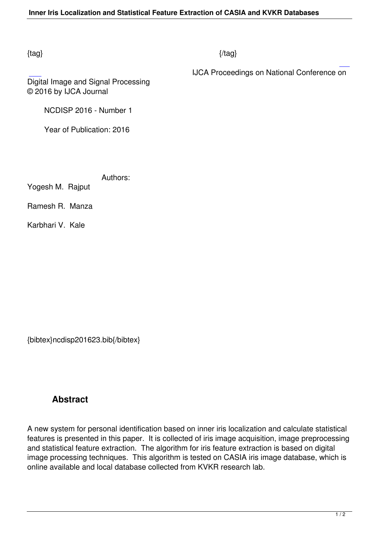## $\{tag\}$

IJCA Proceedings on National Conference on

Digital Image and Signal Processing © 2016 by IJCA Journal

NCDISP 2016 - Number 1

Year of Publication: 2016

Authors:

Yogesh M. Rajput

Ramesh R. Manza

Karbhari V. Kale

{bibtex}ncdisp201623.bib{/bibtex}

# **Abstract**

A new system for personal identification based on inner iris localization and calculate statistical features is presented in this paper. It is collected of iris image acquisition, image preprocessing and statistical feature extraction. The algorithm for iris feature extraction is based on digital image processing techniques. This algorithm is tested on CASIA iris image database, which is online available and local database collected from KVKR research lab.